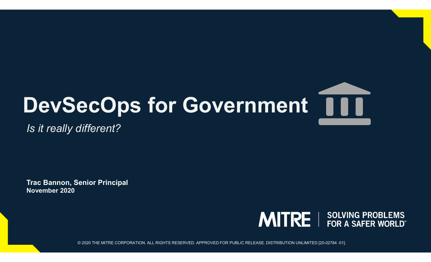# DevSecOps for Government | | |

Is it really different?

November 2020 Trac Bannon, Senior Principal

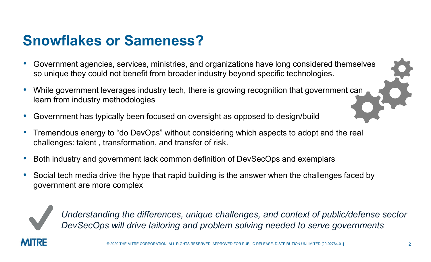#### Snowflakes or Sameness?

- Government agencies, services, ministries, and organizations have long considered themselves so unique they could not benefit from broader industry beyond specific technologies. • Government agencies, services, ministries, and organizations have long considered themselves<br>
• Government agencies, services, ministries, and organizations have long considered themselves<br>
• While government leverages i
- While government leverages industry tech, there is growing recognition that government can learn from industry methodologies
- Government has typically been focused on oversight as opposed to design/build
- challenges: talent , transformation, and transfer of risk.
- Both industry and government lack common definition of DevSecOps and exemplars
- Social tech media drive the hype that rapid building is the answer when the challenges faced by government are more complex



Understanding the differences, unique challenges, and context of public/defense sector DevSecOps will drive tailoring and problem solving needed to serve governments

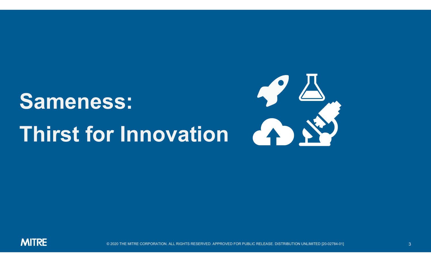### Sameness: Thirst for Innovation



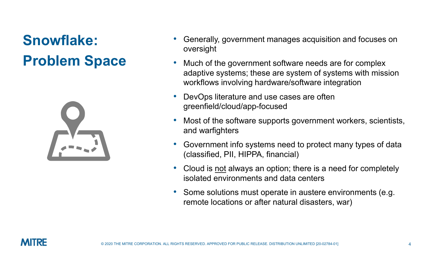#### Snowflake: Problem Space



- Generally, government manages acquisition and focuses on oversight
- Much of the government software needs are for complex adaptive systems; these are system of systems with mission workflows involving hardware/software integration • Generally, government manages acquisition and focuses on<br>
• Much of the government software needs are for complex<br>
• adaptive systems; these are system of systems with mission<br>
• DevOps literature and use cases are often oversight<br>
Much of the government software needs are for complex<br>
adaptive systems; these are system of systems with mission<br>
workflows involving hardware/software integration<br>
DevOps literature and use cases are often<br>
gr • Much of the government software needs are for complex<br>
adaptive systems; these are system of systems with mission<br>
workflows involving hardware/software integration<br>
• DevOps literature and use cases are often<br>
greenfiel
- DevOps literature and use cases are often greenfield/cloud/app-focused
- Most of the software supports government workers, scientists, and warfighters
- vorkflows involving nardware/software integration<br>
 DevOps literature and use cases are often<br>
greenfield/cloud/app-focused<br>
 Most of the software supports government workers, scientists,<br>
and warfighters<br>
 Government i DevOps literature and use cases are often<br>greenfield/cloud/app-focused<br>Most of the software supports government workers, scientis<br>and warfighters<br>Government info systems need to protect many types of dat<br>(classified, PII,
- isolated environments and data centers
- 

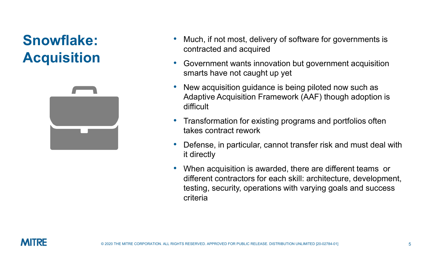#### Snowflake: Acquisition



- Much, if not most, delivery of software for governments is contracted and acquired
- Government wants innovation but government acquisition smarts have not caught up yet
- New acquisition guidance is being piloted now such as Adaptive Acquisition Framework (AAF) though adoption is difficult • Much, if not most, delivery of software for governments is<br>
contracted and acquired<br>
• Government wants innovation but government acquisition<br>
smarts have not caught up yet<br>
• New acquisition guidance is being piloted no
- Transformation for existing programs and portfolios often takes contract rework
- it directly
- When acquisition is awarded, there are different teams or different contractors for each skill: architecture, development, testing, security, operations with varying goals and success criteria

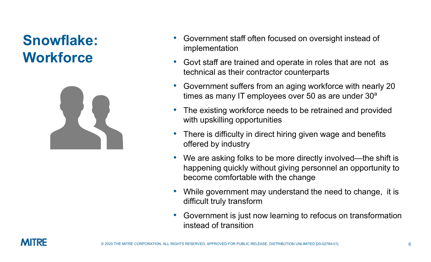#### Snowflake: **Workforce**



- Government staff often focused on oversight instead of implementation
- Govt staff are trained and operate in roles that are not as technical as their contractor counterparts
- Government suffers from an aging workforce with nearly 20 times as many IT employees over 50 as are under  $30<sup>a</sup>$
- The existing workforce needs to be retrained and provided with upskilling opportunities • Government staff often focused on oversight instead of<br>
• Govt staff are trained and operate in roles that are not as<br>
technical as their contractor counterparts<br>
• Government suffers from an aging workforce with nearly
- offered by industry
- We are asking folks to be more directly involved—the shift is happening quickly without giving personnel an opportunity to become comfortable with the change
- While government may understand the need to change, it is difficult truly transform
- Government is just now learning to refocus on transformation instead of transition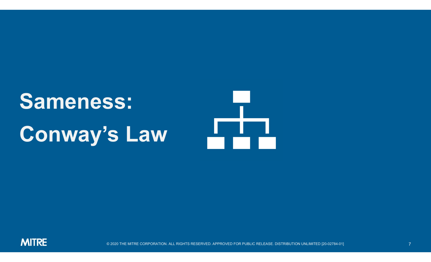## Sameness: Conway's Law

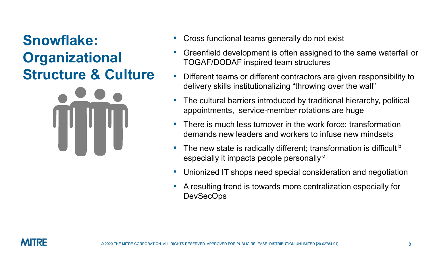#### Snowflake: **Organizational** Structure & Culture



- Cross functional teams generally do not exist
- Cross functional teams generally do not exist<br>• Greenfield development is often assigned to the same waterfall or<br>• Different teams or different contractors are given responsibility to TOGAF/DODAF inspired team structures
- Different teams or different contractors are given responsibility to delivery skills institutionalizing "throwing over the wall" Cross functional teams generally do not exist<br>Greenfield development is often assigned to the same waterfall or<br>TOGAF/DODAF inspired team structures<br>Different teams or different contractors are given responsibility to<br>deli
- The cultural barriers introduced by traditional hierarchy, political
- There is much less turnover in the work force; transformation demands new leaders and workers to infuse new mindsets
- The new state is radically different; transformation is difficult b especially it impacts people personally<sup>c</sup>
- Unionized IT shops need special consideration and negotiation
- A resulting trend is towards more centralization especially for **DevSecOps**

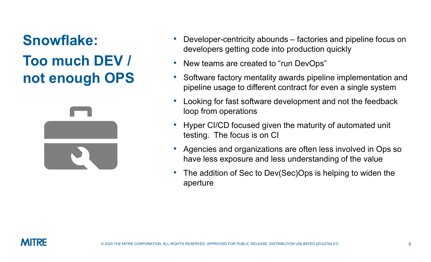#### Snowflake: Too much DEV / not enough OPS



- Developer-centricity abounds factories and pipeline focus on<br>developers getting code into production quickly<br>• New teams are created to "run DevOps" developers getting code into production quickly
- New teams are created to "run DevOps"
- Software factory mentality awards pipeline implementation and pipeline usage to different contract for even a single system
- Looking for fast software development and not the feedback loop from operations
- Hyper CI/CD focused given the maturity of automated unit testing. The focus is on CI
- Agencies and organizations are often less involved in Ops so have less exposure and less understanding of the value
- The addition of Sec to Dev(Sec)Ops is helping to widen the aperture

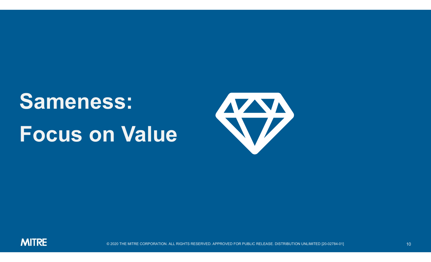### Sameness: Focus on Value



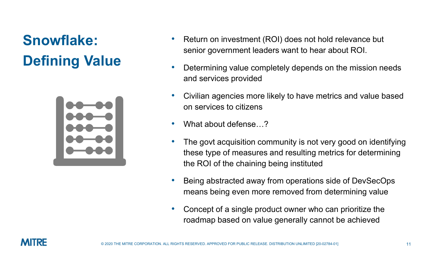### Snowflake: Defining Value



- Return on investment (ROI) does not hold relevance but senior government leaders want to hear about ROI.
- Determining value completely depends on the mission needs and services provided
- Civilian agencies more likely to have metrics and value based on services to citizens
- What about defense…?
- The govt acquisition community is not very good on identifying these type of measures and resulting metrics for determining the ROI of the chaining being instituted From a services provided<br>• Civilian agencies more likely to have metrics and value based<br>on services to citizens<br>• What about defense...?<br>• The govt acquisition community is not very good on identifying<br>these type of measu
- means being even more removed from determining value
- Concept of a single product owner who can prioritize the roadmap based on value generally cannot be achieved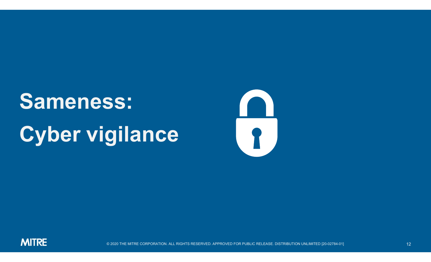### Sameness: Cyber vigilance



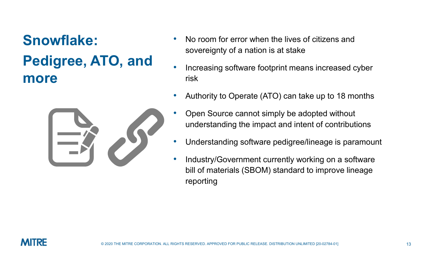#### Snowflake: Pedigree, ATO, and more



- No room for error when the lives of citizens and sovereignty of a nation is at stake
- Increasing software footprint means increased cyber risk
- Authority to Operate (ATO) can take up to 18 months
- Open Source cannot simply be adopted without understanding the impact and intent of contributions
- Understanding software pedigree/lineage is paramount
- Industry/Government currently working on a software bill of materials (SBOM) standard to improve lineage reporting

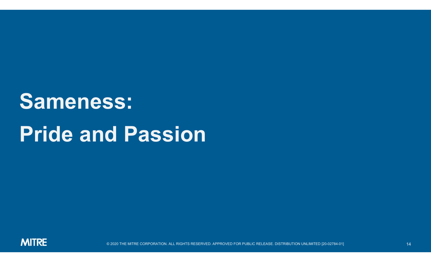### Sameness: Pride and Passion

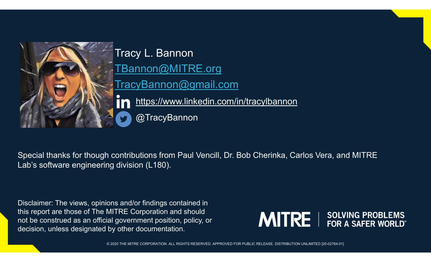

Tracy L. Bannon TBannon@MITRE.org TracyBannon@gmail.com https://www.linkedin.com/in/tracylbannon @TracyBannon

Special thanks for though contributions from Paul Vencill, Dr. Bob Cherinka, Carlos Vera, and MITRE Lab's software engineering division (L180).

Disclaimer: The views, opinions and/or findings contained in this report are those of The MITRE Corporation and should not be construed as an official government position, policy, or decision, unless designated by other documentation.